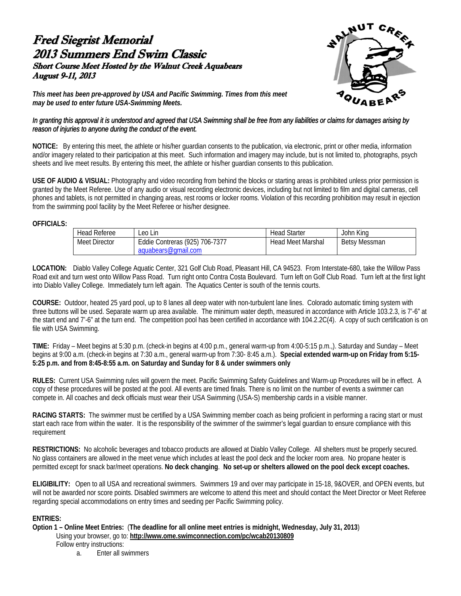# Fred Siegrist Memorial 2013 Summers End Swim Classic Short Course Meet Hosted by the Walnut Creek Aquabears August 9-11, 2013



*This meet has been pre-approved by USA and Pacific Swimming. Times from this meet may be used to enter future USA-Swimming Meets.* 

#### *In granting this approval it is understood and agreed that USA Swimming shall be free from any liabilities or claims for damages arising by reason of injuries to anyone during the conduct of the event.*

**NOTICE:** By entering this meet, the athlete or his/her guardian consents to the publication, via electronic, print or other media, information and/or imagery related to their participation at this meet. Such information and imagery may include, but is not limited to, photographs, psych sheets and live meet results. By entering this meet, the athlete or his/her guardian consents to this publication.

**USE OF AUDIO & VISUAL:** Photography and video recording from behind the blocks or starting areas is prohibited unless prior permission is granted by the Meet Referee. Use of any audio or visual recording electronic devices, including but not limited to film and digital cameras, cell phones and tablets, is not permitted in changing areas, rest rooms or locker rooms. Violation of this recording prohibition may result in ejection from the swimming pool facility by the Meet Referee or his/her designee.

#### **OFFICIALS:**

| Head Referee  | ∟eo Lin                                               | <b>Head Starter</b>      | John Kina            |
|---------------|-------------------------------------------------------|--------------------------|----------------------|
| Meet Director | Eddie Contreras (925) 706-7377<br>aquabears@gmail.com | <b>Head Meet Marshal</b> | <b>Betsy Messman</b> |

**LOCATION:** Diablo Valley College Aquatic Center, 321 Golf Club Road, Pleasant Hill, CA 94523. From Interstate-680, take the Willow Pass Road exit and turn west onto Willow Pass Road. Turn right onto Contra Costa Boulevard. Turn left on Golf Club Road. Turn left at the first light into Diablo Valley College. Immediately turn left again. The Aquatics Center is south of the tennis courts.

**COURSE:** Outdoor, heated 25 yard pool, up to 8 lanes all deep water with non-turbulent lane lines. Colorado automatic timing system with three buttons will be used. Separate warm up area available. The minimum water depth, measured in accordance with Article 103.2.3, is 7'-6" at the start end and 7'-6" at the turn end. The competition pool has been certified in accordance with 104.2.2C(4). A copy of such certification is on file with USA Swimming.

**TIME:** Friday – Meet begins at 5:30 p.m. (check-in begins at 4:00 p.m., general warm-up from 4:00-5:15 p.m.,). Saturday and Sunday – Meet begins at 9:00 a.m. (check-in begins at 7:30 a.m., general warm-up from 7:30- 8:45 a.m.). **Special extended warm-up on Friday from 5:15- 5:25 p.m. and from 8:45-8:55 a.m. on Saturday and Sunday for 8 & under swimmers only**

**RULES:** Current USA Swimming rules will govern the meet. Pacific Swimming Safety Guidelines and Warm-up Procedures will be in effect. A copy of these procedures will be posted at the pool. All events are timed finals. There is no limit on the number of events a swimmer can compete in. All coaches and deck officials must wear their USA Swimming (USA-S) membership cards in a visible manner.

**RACING STARTS:** The swimmer must be certified by a USA Swimming member coach as being proficient in performing a racing start or must start each race from within the water. It is the responsibility of the swimmer of the swimmer's legal guardian to ensure compliance with this requirement

**RESTRICTIONS:** No alcoholic beverages and tobacco products are allowed at Diablo Valley College. All shelters must be properly secured. No glass containers are allowed in the meet venue which includes at least the pool deck and the locker room area. No propane heater is permitted except for snack bar/meet operations. **No deck changing**. **No set-up or shelters allowed on the pool deck except coaches.** 

**ELIGIBILITY:** Open to all USA and recreational swimmers. Swimmers 19 and over may participate in 15-18, 9&OVER, and OPEN events, but will not be awarded nor score points. Disabled swimmers are welcome to attend this meet and should contact the Meet Director or Meet Referee regarding special accommodations on entry times and seeding per Pacific Swimming policy.

#### **ENTRIES:**

**Option 1 – Online Meet Entries:** (**The deadline for all online meet entries is midnight, Wednesday, July 31, 2013**)

Using your browser, go to: **http://www.ome.swimconnection.com/pc/wcab20130809**

Follow entry instructions:

a. Enter all swimmers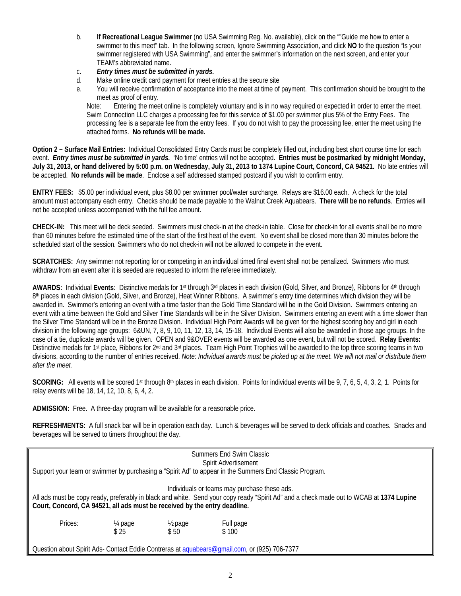- b. **If Recreational League Swimmer** (no USA Swimming Reg. No. available), click on the ""Guide me how to enter a swimmer to this meet" tab. In the following screen, Ignore Swimming Association, and click **NO** to the question "Is your swimmer registered with USA Swimming", and enter the swimmer's information on the next screen, and enter your TEAM's abbreviated name.
- c. *Entry times must be submitted in yards.*
- d. Make online credit card payment for meet entries at the secure site
- e. You will receive confirmation of acceptance into the meet at time of payment. This confirmation should be brought to the meet as proof of entry.

Note: Entering the meet online is completely voluntary and is in no way required or expected in order to enter the meet. Swim Connection LLC charges a processing fee for this service of \$1.00 per swimmer plus 5% of the Entry Fees. The processing fee is a separate fee from the entry fees. If you do not wish to pay the processing fee, enter the meet using the attached forms. **No refunds will be made.**

**Option 2 – Surface Mail Entries:** Individual Consolidated Entry Cards must be completely filled out, including best short course time for each event. *Entry times must be submitted in yards.* 'No time' entries will not be accepted. **Entries must be postmarked by midnight Monday, July 31, 2013, or hand delivered by 5:00 p.m. on Wednesday, July 31, 2013 to 1374 Lupine Court, Concord, CA 94521.** No late entries will be accepted. **No refunds will be made**. Enclose a self addressed stamped postcard if you wish to confirm entry.

**ENTRY FEES:** \$5.00 per individual event, plus \$8.00 per swimmer pool/water surcharge. Relays are \$16.00 each. A check for the total amount must accompany each entry. Checks should be made payable to the Walnut Creek Aquabears. **There will be no refunds**. Entries will not be accepted unless accompanied with the full fee amount.

**CHECK-IN:** This meet will be deck seeded. Swimmers must check-in at the check-in table. Close for check-in for all events shall be no more than 60 minutes before the estimated time of the start of the first heat of the event. No event shall be closed more than 30 minutes before the scheduled start of the session. Swimmers who do not check-in will not be allowed to compete in the event.

**SCRATCHES:** Any swimmer not reporting for or competing in an individual timed final event shall not be penalized. Swimmers who must withdraw from an event after it is seeded are requested to inform the referee immediately.

**AWARDS:** Individual **Events:** Distinctive medals for 1st through 3rd places in each division (Gold, Silver, and Bronze), Ribbons for 4th through 8th places in each division (Gold, Silver, and Bronze), Heat Winner Ribbons. A swimmer's entry time determines which division they will be awarded in. Swimmer's entering an event with a time faster than the Gold Time Standard will be in the Gold Division. Swimmers entering an event with a time between the Gold and Silver Time Standards will be in the Silver Division. Swimmers entering an event with a time slower than the Silver Time Standard will be in the Bronze Division. Individual High Point Awards will be given for the highest scoring boy and girl in each division in the following age groups: 6&UN, 7, 8, 9, 10, 11, 12, 13, 14, 15-18. Individual Events will also be awarded in those age groups. In the case of a tie, duplicate awards will be given. OPEN and 9&OVER events will be awarded as one event, but will not be scored. **Relay Events:**  Distinctive medals for 1<sup>st</sup> place, Ribbons for  $2<sup>nd</sup>$  and  $3<sup>rd</sup>$  places. Team High Point Trophies will be awarded to the top three scoring teams in two divisions, according to the number of entries received. *Note: Individual awards must be picked up at the meet. We will not mail or distribute them after the meet.* 

**SCORING:** All events will be scored 1st through 8th places in each division. Points for individual events will be 9, 7, 6, 5, 4, 3, 2, 1. Points for relay events will be 18, 14, 12, 10, 8, 6, 4, 2.

**ADMISSION:** Free. A three-day program will be available for a reasonable price.

**REFRESHMENTS:** A full snack bar will be in operation each day. Lunch & beverages will be served to deck officials and coaches. Snacks and beverages will be served to timers throughout the day.

| Summers End Swim Classic<br>Spirit Advertisement<br>Support your team or swimmer by purchasing a "Spirit Ad" to appear in the Summers End Classic Program. |                                                                                                                                                                                                                                                                      |                            |                                                                                              |  |  |  |  |
|------------------------------------------------------------------------------------------------------------------------------------------------------------|----------------------------------------------------------------------------------------------------------------------------------------------------------------------------------------------------------------------------------------------------------------------|----------------------------|----------------------------------------------------------------------------------------------|--|--|--|--|
|                                                                                                                                                            | Individuals or teams may purchase these ads.<br>All ads must be copy ready, preferably in black and white. Send your copy ready "Spirit Ad" and a check made out to WCAB at 1374 Lupine<br>Court, Concord, CA 94521, all ads must be received by the entry deadline. |                            |                                                                                              |  |  |  |  |
| Prices:                                                                                                                                                    | 1/ <sub>4</sub> page<br>\$25                                                                                                                                                                                                                                         | $\frac{1}{2}$ page<br>\$50 | Full page<br>\$100                                                                           |  |  |  |  |
|                                                                                                                                                            |                                                                                                                                                                                                                                                                      |                            | Question about Spirit Ads- Contact Eddie Contreras at aquabears@gmail.com, or (925) 706-7377 |  |  |  |  |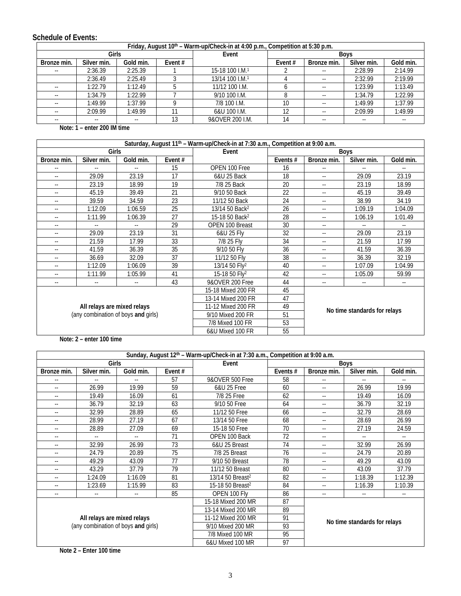### **Schedule of Events:**

| Friday, August 10 <sup>th</sup> – Warm-up/Check-in at 4:00 p.m., Competition at 5:30 p.m. |               |           |           |                             |             |                          |             |            |  |  |
|-------------------------------------------------------------------------------------------|---------------|-----------|-----------|-----------------------------|-------------|--------------------------|-------------|------------|--|--|
|                                                                                           | Girls         |           |           | Event                       | <b>Boys</b> |                          |             |            |  |  |
| Bronze min.                                                                               | Silver min.   | Gold min. | Event $#$ |                             | Event $#$   | Bronze min.              | Silver min. | Gold min.  |  |  |
|                                                                                           | 2:36.39       | 2:25.39   |           | 15-18 100 I.M. <sup>1</sup> |             | $\overline{\phantom{a}}$ | 2:28.99     | 2:14.99    |  |  |
|                                                                                           | 2:36.49       | 2:25.49   |           | 13/14 100 I.M. <sup>1</sup> |             | $\overline{\phantom{a}}$ | 2:32.99     | 2:19.99    |  |  |
|                                                                                           | 1:22.79       | 1:12.49   |           | 11/12 100 I.M.              |             | $ -$                     | 1:23.99     | 1:13.49    |  |  |
|                                                                                           | 1:34.79       | 1:22.99   |           | 9/10 100 I.M.               |             | $\overline{\phantom{a}}$ | 1:34.79     | 1:22.99    |  |  |
|                                                                                           | 1:49.99       | 1:37.99   |           | 7/8 100 I.M.                | 10          | $\overline{\phantom{a}}$ | 1:49.99     | 1:37.99    |  |  |
|                                                                                           | 2:09.99       | 1:49.99   |           | 6&U 100 I.M.                | 12          | $ -$                     | 2:09.99     | 1:49.99    |  |  |
|                                                                                           | $\sim$ $\sim$ | $- -$     | 13        | 9&OVER 200 I.M.             | 14          | $\sim$ $-$               | $- -$       | $\sim$ $-$ |  |  |

**Note: 1 – enter 200 IM time** 

| Saturday, August 11 <sup>th</sup> - Warm-up/Check-in at 7:30 a.m., Competition at 9:00 a.m. |                                                                                                                                                                                                                                                                                                                                    |               |                    |                            |                              |                          |             |               |  |
|---------------------------------------------------------------------------------------------|------------------------------------------------------------------------------------------------------------------------------------------------------------------------------------------------------------------------------------------------------------------------------------------------------------------------------------|---------------|--------------------|----------------------------|------------------------------|--------------------------|-------------|---------------|--|
|                                                                                             | Girls                                                                                                                                                                                                                                                                                                                              |               |                    | Event                      | <b>Boys</b>                  |                          |             |               |  |
| Bronze min.                                                                                 | Silver min.                                                                                                                                                                                                                                                                                                                        | Gold min.     | Event $#$          |                            | Events $#$                   | Bronze min.              | Silver min. | Gold min.     |  |
|                                                                                             |                                                                                                                                                                                                                                                                                                                                    |               | 15                 | OPEN 100 Free              | 16                           |                          |             |               |  |
| --                                                                                          | 29.09                                                                                                                                                                                                                                                                                                                              | 23.19         | 17                 | 6&U 25 Back                | 18                           | $\sim$ $\sim$            | 29.09       | 23.19         |  |
|                                                                                             | 23.19                                                                                                                                                                                                                                                                                                                              | 18.99         | 19                 | 7/8 25 Back                | 20                           | ٠.                       | 23.19       | 18.99         |  |
| --                                                                                          | 45.19                                                                                                                                                                                                                                                                                                                              | 39.49         | 21                 | 9/10 50 Back               | 22                           | $\overline{a}$           | 45.19       | 39.49         |  |
| $\overline{\phantom{a}}$                                                                    | 39.59                                                                                                                                                                                                                                                                                                                              | 34.59         | 23                 | 11/12 50 Back              | 24                           | $\sim$ $\sim$            | 38.99       | 34.19         |  |
| ٠.                                                                                          | 1:12.09                                                                                                                                                                                                                                                                                                                            | 1:06.59       | 25                 | 13/14 50 Back <sup>2</sup> | 26                           | $\overline{\phantom{a}}$ | 1:09.19     | 1:04.09       |  |
| $\overline{\phantom{a}}$                                                                    | 1:11.99                                                                                                                                                                                                                                                                                                                            | 1:06.39       | 27                 | 15-18 50 Back <sup>2</sup> | 28                           | $\overline{\phantom{a}}$ | 1:06.19     | 1:01.49       |  |
| $\overline{\phantom{a}}$                                                                    | ٠.                                                                                                                                                                                                                                                                                                                                 | $\sim$ $-$    | 29                 | OPEN 100 Breast            | 30                           | $\sim$ $\sim$            | --          | $\sim$ $\sim$ |  |
| $\sim$ $\sim$                                                                               | 29.09                                                                                                                                                                                                                                                                                                                              | 23.19         | 31                 | 6&U 25 Fly                 | 32                           | $\sim$ $-$               | 29.09       | 23.19         |  |
| $- -$                                                                                       | 21.59                                                                                                                                                                                                                                                                                                                              | 17.99         | 33                 | 7/8 25 Fly                 | 34                           | $\sim$ $\sim$            | 21.59       | 17.99         |  |
| $-1$                                                                                        | 41.59                                                                                                                                                                                                                                                                                                                              | 36.39         | 35                 | 9/10 50 Fly                | 36                           | $\ddotsc$                | 41.59       | 36.39         |  |
| $\frac{1}{2}$                                                                               | 36.69                                                                                                                                                                                                                                                                                                                              | 32.09         | 37                 | 11/12 50 Fly               | 38                           | $\sim$ $\sim$            | 36.39       | 32.19         |  |
| $\overline{a}$                                                                              | 1:12.09                                                                                                                                                                                                                                                                                                                            | 1:06.09       | 39                 | 13/14 50 Fly <sup>2</sup>  | 40                           | $\sim$                   | 1:07.09     | 1:04.99       |  |
| $\overline{a}$                                                                              | 1:11.99                                                                                                                                                                                                                                                                                                                            | 1:05.99       | 41                 | 15-18 50 Fly <sup>2</sup>  | 42                           | $\sim$ $\sim$            | 1:05.09     | 59.99         |  |
| $\overline{\phantom{a}}$                                                                    | ۰.                                                                                                                                                                                                                                                                                                                                 | $\sim$ $\sim$ | 43                 | 9&OVER 200 Free            | 44                           | $\sim$ $-$               | --          | $\sim$ $-$    |  |
|                                                                                             |                                                                                                                                                                                                                                                                                                                                    |               |                    | 15-18 Mixed 200 FR         | 45                           |                          |             |               |  |
|                                                                                             |                                                                                                                                                                                                                                                                                                                                    |               | 13-14 Mixed 200 FR | 47                         |                              |                          |             |               |  |
| All relays are mixed relays                                                                 |                                                                                                                                                                                                                                                                                                                                    |               | 11-12 Mixed 200 FR | 49                         | No time standards for relays |                          |             |               |  |
| (any combination of boys and girls)                                                         |                                                                                                                                                                                                                                                                                                                                    |               | 9/10 Mixed 200 FR  | 51                         |                              |                          |             |               |  |
|                                                                                             |                                                                                                                                                                                                                                                                                                                                    |               |                    | 7/8 Mixed 100 FR           |                              |                          |             | 53            |  |
|                                                                                             | $\mathbf{M}$ $\mathbf{A}$ $\mathbf{A}$ $\mathbf{A}$ $\mathbf{A}$ $\mathbf{A}$ $\mathbf{A}$ $\mathbf{A}$ $\mathbf{A}$ $\mathbf{A}$ $\mathbf{A}$ $\mathbf{A}$ $\mathbf{A}$ $\mathbf{A}$ $\mathbf{A}$ $\mathbf{A}$ $\mathbf{A}$ $\mathbf{A}$ $\mathbf{A}$ $\mathbf{A}$ $\mathbf{A}$ $\mathbf{A}$ $\mathbf{A}$ $\mathbf{A}$ $\mathbf{$ |               |                    | 6&U Mixed 100 FR           | 55                           |                          |             |               |  |

**Note: 2 – enter 100 time** 

|                | Sunday, August 12 <sup>th</sup> – Warm-up/Check-in at 7:30 a.m., Competition at 9:00 a.m. |                                     |                    |                              |            |                              |                |            |  |
|----------------|-------------------------------------------------------------------------------------------|-------------------------------------|--------------------|------------------------------|------------|------------------------------|----------------|------------|--|
|                | Girls                                                                                     |                                     |                    | Event                        | Boys       |                              |                |            |  |
| Bronze min.    | Silver min.                                                                               | Gold min.                           | Event $#$          |                              | Events $#$ | Bronze min.                  | Silver min.    | Gold min.  |  |
| $\sim$         | $\overline{a}$                                                                            | $\overline{a}$                      | 57                 | 9&OVER 500 Free              | 58         | $\sim$                       | $\overline{a}$ | $\sim$ $-$ |  |
| $\sim$         | 26.99                                                                                     | 19.99                               | 59                 | 6&U 25 Free                  | 60         | $\overline{a}$               | 26.99          | 19.99      |  |
| --             | 19.49                                                                                     | 16.09                               | 61                 | 7/8 25 Free                  | 62         | $\sim$ $-$                   | 19.49          | 16.09      |  |
| --             | 36.79                                                                                     | 32.19                               | 63                 | 9/10 50 Free                 | 64         | $\frac{1}{2}$                | 36.79          | 32.19      |  |
|                | 32.99                                                                                     | 28.89                               | 65                 | 11/12 50 Free                | 66         | $\sim$                       | 32.79          | 28.69      |  |
| --             | 28.99                                                                                     | 27.19                               | 67                 | 13/14 50 Free                | 68         | $\sim$ $-$                   | 28.69          | 26.99      |  |
|                | 28.89                                                                                     | 27.09                               | 69                 | 15-18 50 Free                | 70         | $\sim$ $\sim$                | 27.19          | 24.59      |  |
| --             |                                                                                           | $-$                                 | 71                 | OPEN 100 Back                | 72         | $\frac{1}{2}$                |                |            |  |
| --             | 32.99                                                                                     | 26.99                               | 73                 | 6&U 25 Breast                | 74         | $\sim$ $-$                   | 32.99          | 26.99      |  |
| $\sim$ $\sim$  | 24.79                                                                                     | 20.89                               | 75                 | 7/8 25 Breast                | 76         | $\overline{a}$               | 24.79          | 20.89      |  |
|                | 49.29                                                                                     | 43.09                               | 77                 | 9/10 50 Breast               | 78         | $\sim$ $\sim$                | 49.29          | 43.09      |  |
| $\overline{a}$ | 43.29                                                                                     | 37.79                               | 79                 | 11/12 50 Breast              | 80         | $\overline{a}$               | 43.09          | 37.79      |  |
| --             | 1:24.09                                                                                   | 1:16.09                             | 81                 | 13/14 50 Breast <sup>2</sup> | 82         | $\sim$ $\sim$                | 1:18.39        | 1:12.39    |  |
| --             | 1:23.69                                                                                   | 1:15.99                             | 83                 | 15-18 50 Breast <sup>2</sup> | 84         | $\overline{a}$               | 1:16.39        | 1:10.39    |  |
| --             | $-$                                                                                       | $\overline{\phantom{a}}$            | 85                 | OPEN 100 Flv                 | 86         | $\sim$ $-$                   | ٠.             | $\sim$ $-$ |  |
|                |                                                                                           |                                     |                    | 15-18 Mixed 200 MR           | 87         |                              |                |            |  |
|                |                                                                                           |                                     | 13-14 Mixed 200 MR | 89                           |            |                              |                |            |  |
|                | All relays are mixed relays                                                               |                                     |                    | 11-12 Mixed 200 MR           | 91         | No time standards for relays |                |            |  |
|                |                                                                                           | (any combination of boys and girls) |                    | 9/10 Mixed 200 MR            | 93         |                              |                |            |  |
|                |                                                                                           |                                     |                    | 7/8 Mixed 100 MR             | 95         |                              |                |            |  |
|                |                                                                                           |                                     |                    | 6&U Mixed 100 MR             | 97         |                              |                |            |  |

**Note 2 – Enter 100 time**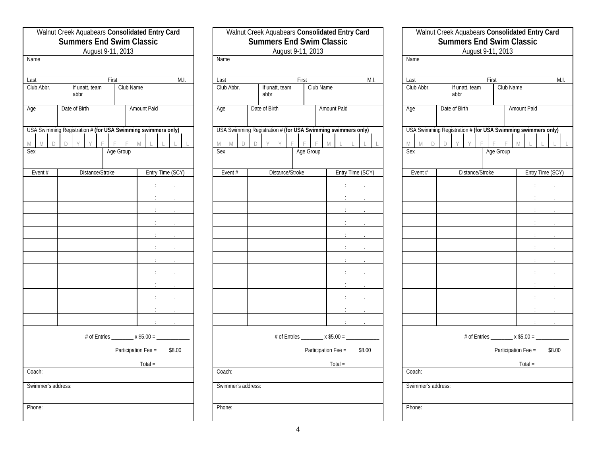|                         |   | Walnut Creek Aquabears Consolidated Entry Card                    |                |           |                                              |      |
|-------------------------|---|-------------------------------------------------------------------|----------------|-----------|----------------------------------------------|------|
|                         |   | <b>Summers End Swim Classic</b><br>August 9-11, 2013              |                |           |                                              |      |
| Name                    |   |                                                                   |                |           |                                              |      |
|                         |   |                                                                   |                |           |                                              |      |
| Last                    |   |                                                                   | First          |           |                                              | M.I. |
| Club Abbr.              |   | If unatt, team<br>abbr                                            |                | Club Name |                                              |      |
| Age                     |   | Date of Birth                                                     |                |           | <b>Amount Paid</b>                           |      |
| M<br>$\Box$<br>M<br>Sex | D | USA Swimming Registration # (for USA Swimming swimmers only)<br>F | F<br>Age Group | F         | $\mathbb M$                                  |      |
| Event#                  |   | Distance/Stroke                                                   |                |           | Entry Time (SCY)                             |      |
|                         |   |                                                                   |                |           | $1 - 1 - 1$                                  |      |
|                         |   |                                                                   |                |           | $\mathbb{Z}^n \times \mathbb{Z}^n$           |      |
|                         |   |                                                                   |                |           | Dealer Car                                   |      |
|                         |   |                                                                   |                |           | ÷                                            |      |
|                         |   |                                                                   |                |           | t.                                           |      |
|                         |   |                                                                   |                |           | ÷.                                           |      |
|                         |   |                                                                   |                |           | De Santo                                     |      |
|                         |   |                                                                   |                |           | Denver and                                   |      |
|                         |   |                                                                   |                |           | ÷                                            |      |
|                         |   |                                                                   |                |           |                                              |      |
|                         |   |                                                                   |                |           | ÷.                                           |      |
|                         |   |                                                                   |                |           | <b>Dentischen</b>                            |      |
|                         |   |                                                                   |                |           | # of Entries _________ x \$5.00 = __________ |      |
|                         |   |                                                                   |                |           | Participation Fee = ____\$8.00___            |      |
|                         |   |                                                                   |                |           | $Total = \_$                                 |      |
| Coach:                  |   |                                                                   |                |           |                                              |      |
| Swimmer's address:      |   |                                                                   |                |           |                                              |      |
| Phone:                  |   |                                                                   |                |           |                                              |      |

|                    |   | Walnut Creek Aquabears Consolidated Entry Card<br><b>Summers End Swim Classic</b> |           |           |                                            |      |
|--------------------|---|-----------------------------------------------------------------------------------|-----------|-----------|--------------------------------------------|------|
| Name               |   | August 9-11, 2013                                                                 |           |           |                                            |      |
|                    |   |                                                                                   |           |           |                                            |      |
| Last               |   |                                                                                   | First     |           |                                            | M.I. |
| Club Abbr.         |   | If unatt, team<br>abbr                                                            |           | Club Name |                                            |      |
| Age                |   | Date of Birth                                                                     |           |           | Amount Paid                                |      |
|                    |   | USA Swimming Registration # (for USA Swimming swimmers only)                      |           |           |                                            |      |
| M<br>$\Box$<br>M   | D | F                                                                                 | F         | F         | M                                          |      |
| Sex                |   |                                                                                   | Age Group |           |                                            |      |
| Event#             |   | Distance/Stroke                                                                   |           |           | Entry Time (SCY)                           |      |
|                    |   |                                                                                   |           |           | t                                          |      |
|                    |   |                                                                                   |           |           |                                            |      |
|                    |   |                                                                                   |           |           |                                            |      |
|                    |   |                                                                                   |           |           |                                            |      |
|                    |   |                                                                                   |           |           |                                            |      |
|                    |   |                                                                                   |           |           |                                            |      |
|                    |   |                                                                                   |           |           |                                            |      |
|                    |   |                                                                                   |           |           |                                            |      |
|                    |   |                                                                                   |           |           |                                            |      |
|                    |   |                                                                                   |           |           |                                            |      |
|                    |   |                                                                                   |           |           | ÷.                                         |      |
|                    |   |                                                                                   |           |           | D.                                         |      |
|                    |   |                                                                                   |           |           |                                            |      |
|                    |   |                                                                                   |           |           | # of Entries ________ x \$5.00 = _________ |      |
|                    |   |                                                                                   |           |           | Participation Fee = ____\$8.00___          |      |
|                    |   |                                                                                   |           |           | $Total = \_$                               |      |
| Coach:             |   |                                                                                   |           |           |                                            |      |
| Swimmer's address: |   |                                                                                   |           |           |                                            |      |
| Phone:             |   |                                                                                   |           |           |                                            |      |

|                    |   | <b>Summers End Swim Classic</b><br>August 9-11, 2013         |           |           |                                               |                  |
|--------------------|---|--------------------------------------------------------------|-----------|-----------|-----------------------------------------------|------------------|
| Name               |   |                                                              |           |           |                                               |                  |
|                    |   |                                                              |           |           |                                               |                  |
| Last               |   |                                                              | First     |           |                                               | M.I.             |
| Club Abbr.         |   | If unatt, team<br>abbr                                       |           | Club Name |                                               |                  |
| Age                |   | Date of Birth                                                |           |           | <b>Amount Paid</b>                            |                  |
|                    |   | USA Swimming Registration # (for USA Swimming swimmers only) |           |           |                                               |                  |
| M<br>$\Box$        | D | Ē                                                            | Ē         | F.        | M                                             |                  |
| Sex                |   |                                                              | Age Group |           |                                               |                  |
|                    |   |                                                              |           |           |                                               |                  |
| Event#             |   | Distance/Stroke                                              |           |           |                                               | Entry Time (SCY) |
|                    |   |                                                              |           |           |                                               |                  |
|                    |   |                                                              |           |           |                                               |                  |
|                    |   |                                                              |           |           |                                               |                  |
|                    |   |                                                              |           |           |                                               |                  |
|                    |   |                                                              |           |           |                                               |                  |
|                    |   |                                                              |           |           |                                               |                  |
|                    |   |                                                              |           |           |                                               |                  |
|                    |   |                                                              |           |           | t in                                          |                  |
|                    |   |                                                              |           |           | i i                                           |                  |
|                    |   |                                                              |           |           |                                               |                  |
|                    |   |                                                              |           |           |                                               |                  |
|                    |   |                                                              |           |           |                                               |                  |
|                    |   |                                                              |           |           | t.                                            |                  |
|                    |   |                                                              |           |           | # of Entries _________ x \$5.00 = ___________ |                  |
|                    |   |                                                              |           |           | Participation Fee = ____\$8.00___             |                  |
|                    |   |                                                              |           |           | $Total =$                                     |                  |
| Coach:             |   |                                                              |           |           |                                               |                  |
| Swimmer's address: |   |                                                              |           |           |                                               |                  |
|                    |   |                                                              |           |           |                                               |                  |